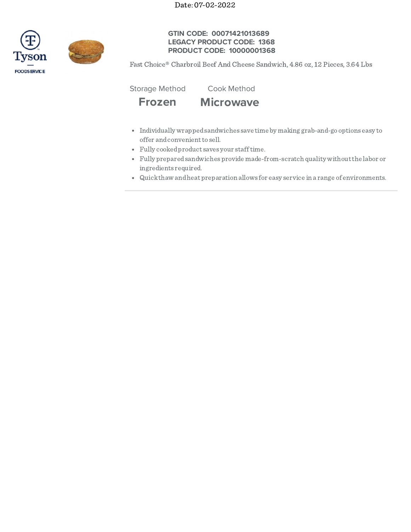Date: 07-02-2022





# **GTIN CODE: 00071421013689 LEGACY PRODUCT CODE: 1368 PRODUCT CODE: 10000001368**

Fast Choice® Charbroil Beef And Cheese Sandwich, 4.86 oz, 12 Pieces, 3.64 Lbs

Storage Method Cook Method

**Frozen Microwave**

- Individually wrappedsandwiches save time by making grab-and-go options easy to offer and convenient to sell.
- Fully cookedproduct saves your stafftime.
- Fully preparedsandwiches provide made-from-scratch quality withoutthe labor or ingredients required.
- Quickthaw andheat preparation allows for easy service in a range of environments.